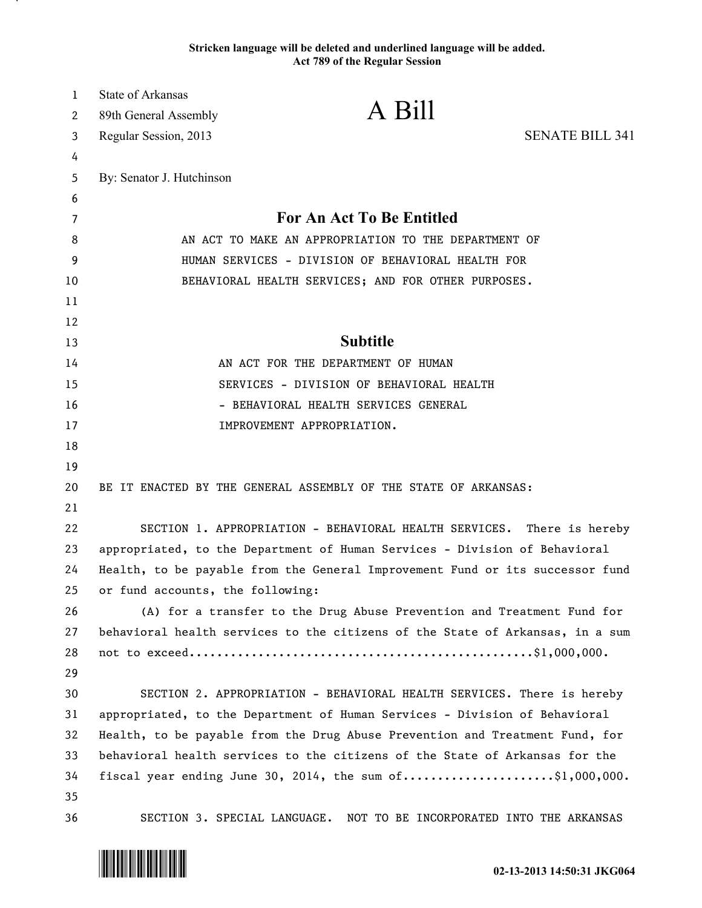## **Stricken language will be deleted and underlined language will be added. Act 789 of the Regular Session**

| 1  | State of Arkansas                                    |                                                                               |                        |
|----|------------------------------------------------------|-------------------------------------------------------------------------------|------------------------|
| 2  | 89th General Assembly                                | A Bill                                                                        |                        |
| 3  | Regular Session, 2013                                |                                                                               | <b>SENATE BILL 341</b> |
| 4  |                                                      |                                                                               |                        |
| 5  | By: Senator J. Hutchinson                            |                                                                               |                        |
| 6  |                                                      |                                                                               |                        |
| 7  |                                                      | <b>For An Act To Be Entitled</b>                                              |                        |
| 8  | AN ACT TO MAKE AN APPROPRIATION TO THE DEPARTMENT OF |                                                                               |                        |
| 9  | HUMAN SERVICES - DIVISION OF BEHAVIORAL HEALTH FOR   |                                                                               |                        |
| 10 |                                                      | BEHAVIORAL HEALTH SERVICES; AND FOR OTHER PURPOSES.                           |                        |
| 11 |                                                      |                                                                               |                        |
| 12 |                                                      |                                                                               |                        |
| 13 |                                                      | <b>Subtitle</b>                                                               |                        |
| 14 |                                                      | AN ACT FOR THE DEPARTMENT OF HUMAN                                            |                        |
| 15 |                                                      | SERVICES - DIVISION OF BEHAVIORAL HEALTH                                      |                        |
| 16 |                                                      | - BEHAVIORAL HEALTH SERVICES GENERAL                                          |                        |
| 17 |                                                      | IMPROVEMENT APPROPRIATION.                                                    |                        |
| 18 |                                                      |                                                                               |                        |
| 19 |                                                      |                                                                               |                        |
| 20 |                                                      | BE IT ENACTED BY THE GENERAL ASSEMBLY OF THE STATE OF ARKANSAS:               |                        |
| 21 |                                                      |                                                                               |                        |
| 22 |                                                      | SECTION 1. APPROPRIATION - BEHAVIORAL HEALTH SERVICES.                        | There is hereby        |
| 23 |                                                      | appropriated, to the Department of Human Services - Division of Behavioral    |                        |
| 24 |                                                      | Health, to be payable from the General Improvement Fund or its successor fund |                        |
| 25 | or fund accounts, the following:                     |                                                                               |                        |
| 26 |                                                      | (A) for a transfer to the Drug Abuse Prevention and Treatment Fund for        |                        |
| 27 |                                                      | behavioral health services to the citizens of the State of Arkansas, in a sum |                        |
| 28 |                                                      |                                                                               |                        |
| 29 |                                                      |                                                                               |                        |
| 30 |                                                      | SECTION 2. APPROPRIATION - BEHAVIORAL HEALTH SERVICES. There is hereby        |                        |
| 31 |                                                      | appropriated, to the Department of Human Services - Division of Behavioral    |                        |
| 32 |                                                      | Health, to be payable from the Drug Abuse Prevention and Treatment Fund, for  |                        |
| 33 |                                                      | behavioral health services to the citizens of the State of Arkansas for the   |                        |
| 34 |                                                      | fiscal year ending June 30, 2014, the sum of\$1,000,000.                      |                        |
| 35 |                                                      |                                                                               |                        |
| 36 | SECTION 3. SPECIAL LANGUAGE.                         | NOT TO BE INCORPORATED INTO THE ARKANSAS                                      |                        |



.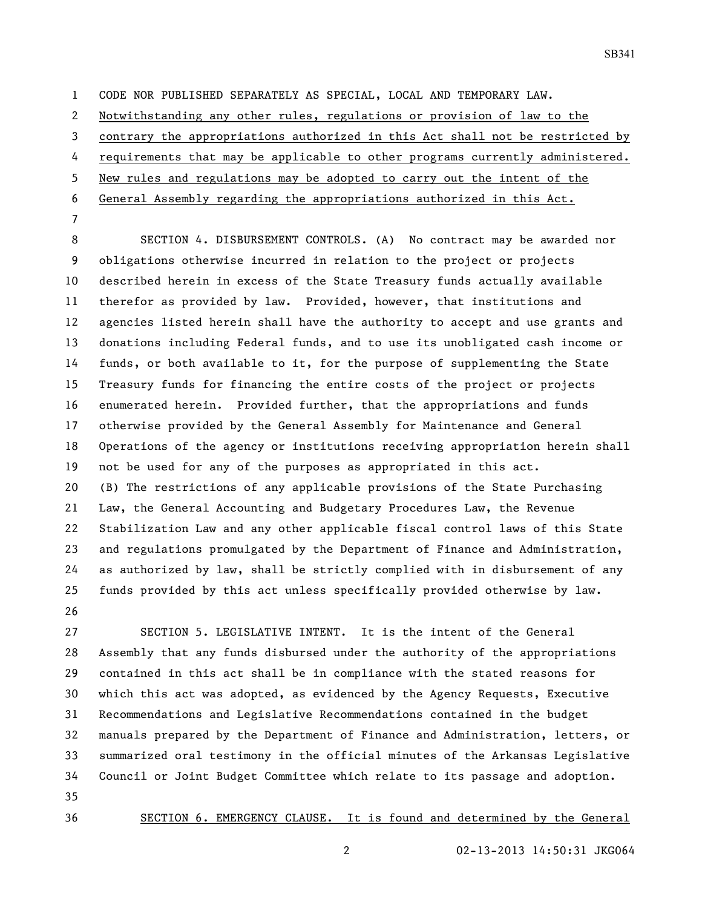SB341

CODE NOR PUBLISHED SEPARATELY AS SPECIAL, LOCAL AND TEMPORARY LAW.

Notwithstanding any other rules, regulations or provision of law to the

contrary the appropriations authorized in this Act shall not be restricted by

requirements that may be applicable to other programs currently administered.

New rules and regulations may be adopted to carry out the intent of the

General Assembly regarding the appropriations authorized in this Act.

 SECTION 4. DISBURSEMENT CONTROLS. (A) No contract may be awarded nor obligations otherwise incurred in relation to the project or projects described herein in excess of the State Treasury funds actually available therefor as provided by law. Provided, however, that institutions and agencies listed herein shall have the authority to accept and use grants and donations including Federal funds, and to use its unobligated cash income or funds, or both available to it, for the purpose of supplementing the State Treasury funds for financing the entire costs of the project or projects enumerated herein. Provided further, that the appropriations and funds otherwise provided by the General Assembly for Maintenance and General Operations of the agency or institutions receiving appropriation herein shall not be used for any of the purposes as appropriated in this act. (B) The restrictions of any applicable provisions of the State Purchasing Law, the General Accounting and Budgetary Procedures Law, the Revenue Stabilization Law and any other applicable fiscal control laws of this State and regulations promulgated by the Department of Finance and Administration, as authorized by law, shall be strictly complied with in disbursement of any funds provided by this act unless specifically provided otherwise by law. 

 SECTION 5. LEGISLATIVE INTENT. It is the intent of the General Assembly that any funds disbursed under the authority of the appropriations contained in this act shall be in compliance with the stated reasons for which this act was adopted, as evidenced by the Agency Requests, Executive Recommendations and Legislative Recommendations contained in the budget manuals prepared by the Department of Finance and Administration, letters, or summarized oral testimony in the official minutes of the Arkansas Legislative Council or Joint Budget Committee which relate to its passage and adoption. 

SECTION 6. EMERGENCY CLAUSE. It is found and determined by the General